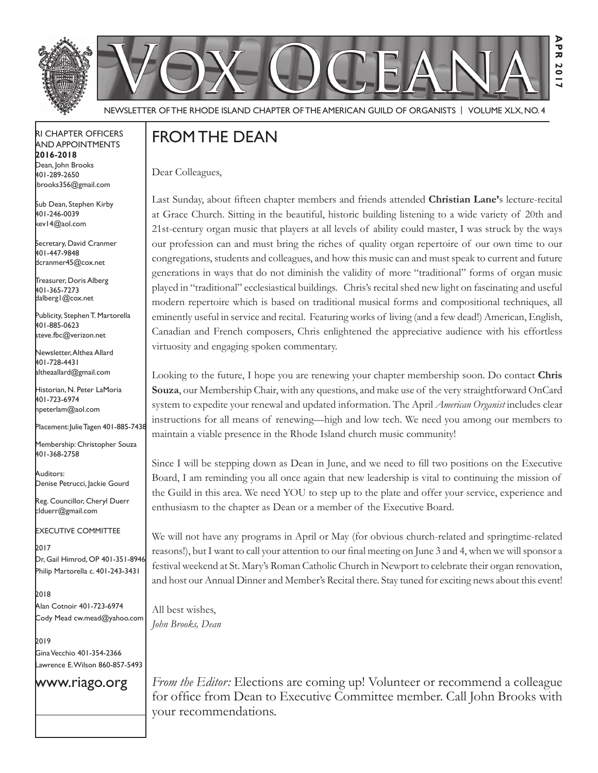



**Apr 2017**

AP  $\overline{\mathbf{x}}$ **20**  $\frac{1}{2}$ 

NEWSLETTER OF THE RHODE ISLAND CHAPTER OF THE AMERICAN GUILD OF ORGANISTS | VOLUME XLX, NO. 4

#### rI Chapter offICers aNd appoINtmeNts **2016-2018** Dean, John Brooks 401-289-2650 jbrooks356@gmail.com

Sub Dean, Stephen Kirby 401-246-0039 kev14@aol.com

Secretary, David Cranmer 401-447-9848 dcranmer45@cox.net

Treasurer, Doris Alberg 401-365-7273 dalberg1@cox.net I

Publicity, Stephen T. Martorella 401-885-0623 steve.fbc@verizon.net

Newsletter, Althea Allard 401-728-4431 altheaallard@gmail.com

historian, N. peter lamoria 401-723-6974 npeterlam@aol.com

placement: Julie tagen 401-885-7438

Membership: Christopher Souza 401-368-2758

Auditors: Denise Petrucci, Jackie Gourd

Reg. Councillor, Cheryl Duerr clduerr@gmail.com

eXeCutIVe CommIttee

2017 Dr, Gail Himrod, OP 401-351-8946 philip martorella c. 401-243-3431

2018 alan Cotnoir 401-723-6974 Cody mead cw.mead@yahoo.com

2019 Gina Vecchio 401-354-2366 awrence E. Wilson 860-857-5493

#### www.riago.org

FROM THE DEAN

Dear Colleagues,

Last Sunday, about ffteen chapter members and friends attended **Christian Lane'**s lecture-recital at Grace Church. Sitting in the beautiful, historic building listening to a wide variety of 20th and 21st-century organ music that players at all levels of ability could master, I was struck by the ways our profession can and must bring the riches of quality organ repertoire of our own time to our congregations, students and colleagues, and how this music can and must speak to current and future generations in ways that do not diminish the validity of more "traditional" forms of organ music played in "traditional" ecclesiastical buildings. Chris's recital shed new light on fascinating and useful modern repertoire which is based on traditional musical forms and compositional techniques, all eminently useful in service and recital. Featuring works of living (and a few dead!) American, English, Canadian and French composers, Chris enlightened the appreciative audience with his effortless virtuosity and engaging spoken commentary.

Looking to the future, I hope you are renewing your chapter membership soon. Do contact **Chris Souza**, our Membership Chair, with any questions, and make use of the very straightforward OnCard system to expedite your renewal and updated information. The April *American Organist* includes clear instructions for all means of renewing—high and low tech. We need you among our members to maintain a viable presence in the Rhode Island church music community!

Since I will be stepping down as Dean in June, and we need to fll two positions on the Executive Board, I am reminding you all once again that new leadership is vital to continuing the mission of the Guild in this area. We need YOU to step up to the plate and offer your service, experience and enthusiasm to the chapter as Dean or a member of the Executive Board.

We will not have any programs in April or May (for obvious church-related and springtime-related reasons!), but I want to call your attention to our fnal meeting on June 3 and 4, when we will sponsor a festival weekend at St. Mary's Roman Catholic Church in Newport to celebrate their organ renovation, and host our Annual Dinner and Member's Recital there. Stay tuned for exciting news about this event!

All best wishes, *John Brooks, Dean*

*From the Editor:* Elections are coming up! Volunteer or recommend a colleague for office from Dean to Executive Committee member. Call John Brooks with your recommendations.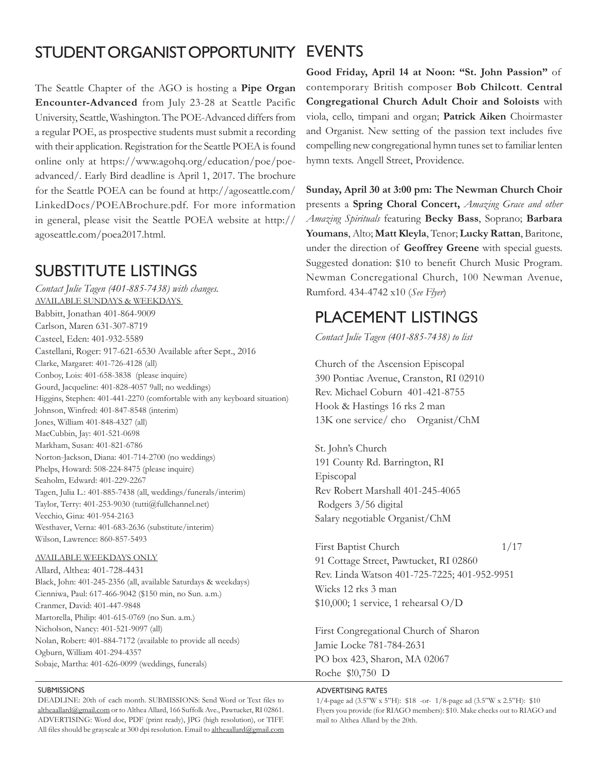### STUDENT ORGANIST OPPORTUNITY EVENTS

The Seattle Chapter of the AGO is hosting a **Pipe Organ Encounter-Advanced** from July 23-28 at Seattle Pacific University, Seattle, Washington. The POE-Advanced differs from a regular POE, as prospective students must submit a recording with their application. Registration for the Seattle POEA is found online only at https://www.agohq.org/education/poe/poeadvanced/. Early Bird deadline is April 1, 2017. The brochure for the Seattle POEA can be found at http://agoseattle.com/ LinkedDocs/POEABrochure.pdf. For more information in general, please visit the Seattle POEA website at http:// agoseattle.com/poea2017.html.

### **SUBSTITUTE LISTINGS**

*Contact Julie Tagen (401-885-7438) with changes.* AVAILABLE SUNDAYS & WEEKDAYS Babbitt, Jonathan 401-864-9009 Carlson, Maren 631-307-8719 Casteel, Eden: 401-932-5589 Castellani, Roger: 917-621-6530 Available after Sept., 2016 Clarke, Margaret: 401-726-4128 (all) Conboy, Lois: 401-658-3838 (please inquire) Gourd, Jacqueline: 401-828-4057 9all; no weddings) Higgins, Stephen: 401-441-2270 (comfortable with any keyboard situation) Johnson, Winfred: 401-847-8548 (interim) Jones, William 401-848-4327 (all) MacCubbin, Jay: 401-521-0698 Markham, Susan: 401-821-6786 Norton-Jackson, Diana: 401-714-2700 (no weddings) Phelps, Howard: 508-224-8475 (please inquire) Seaholm, Edward: 401-229-2267 Tagen, Julia L.: 401-885-7438 (all, weddings/funerals/interim) Taylor, Terry: 401-253-9030 (tutti@fullchannel.net) Vecchio, Gina: 401-954-2163 Westhaver, Verna: 401-683-2636 (substitute/interim) Wilson, Lawrence: 860-857-5493

#### AVAILABLE WEEKDAYS ONLY

Allard, Althea: 401-728-4431 Black, John: 401-245-2356 (all, available Saturdays & weekdays) Cienniwa, Paul: 617-466-9042 (\$150 min, no Sun. a.m.) Cranmer, David: 401-447-9848 Martorella, Philip: 401-615-0769 (no Sun. a.m.) Nicholson, Nancy: 401-521-9097 (all) Nolan, Robert: 401-884-7172 (available to provide all needs) Ogburn, William 401-294-4357 Sobaje, Martha: 401-626-0099 (weddings, funerals)

#### **SUBMISSIONS**

DEADLINE: 20th of each month. SUBMISSIONS: Send Word or Text fles to altheaallard@gmail.com or to Althea Allard, 166 Suffolk Ave., Pawtucket, RI 02861. ADVERTISING: Word doc, PDF (print ready), JPG (high resolution), or TIFF. All files should be grayscale at 300 dpi resolution. Email to altheaallard@gmail.com

**Good Friday, April 14 at Noon: "St. John Passion"** of contemporary British composer **Bob Chilcott**. **Central Congregational Church Adult Choir and Soloists** with viola, cello, timpani and organ; **Patrick Aiken** Choirmaster and Organist. New setting of the passion text includes fve compelling new congregational hymn tunes set to familiar lenten hymn texts. Angell Street, Providence.

**Sunday, April 30 at 3:00 pm: The Newman Church Choir**  presents a **Spring Choral Concert,** *Amazing Grace and other Amazing Spirituals* featuring **Becky Bass**, Soprano; **Barbara Youmans**, Alto; **Matt Kleyla**, Tenor; **Lucky Rattan**, Baritone, under the direction of **Geoffrey Greene** with special guests. Suggested donation: \$10 to beneft Church Music Program. Newman Concregational Church, 100 Newman Avenue, Rumford. 434-4742 x10 (*See Flyer*)

### plaCemeNt lIstINGs

*Contact Julie Tagen (401-885-7438) to list*

Church of the Ascension Episcopal 390 Pontiac Avenue, Cranston, RI 02910 Rev. Michael Coburn 401-421-8755 Hook & Hastings 16 rks 2 man 13K one service/ cho Organist/ChM

St. John's Church 191 County Rd. Barrington, RI Episcopal Rev Robert Marshall 401-245-4065 Rodgers 3/56 digital Salary negotiable Organist/ChM

First Baptist Church 1/17 91 Cottage Street, Pawtucket, RI 02860 Rev. Linda Watson 401-725-7225; 401-952-9951 Wicks 12 rks 3 man \$10,000; 1 service, 1 rehearsal O/D

First Congregational Church of Sharon Jamie Locke 781-784-2631 PO box 423, Sharon, MA 02067 Roche \$!0,750 D

#### adVertIsING rates

1/4-page ad (3.5"W x 5"H): \$18 -or- 1/8-page ad (3.5"W x 2.5"H): \$10 Flyers you provide (for RIAGO members): \$10. Make checks out to RIAGO and mail to Althea Allard by the 20th.